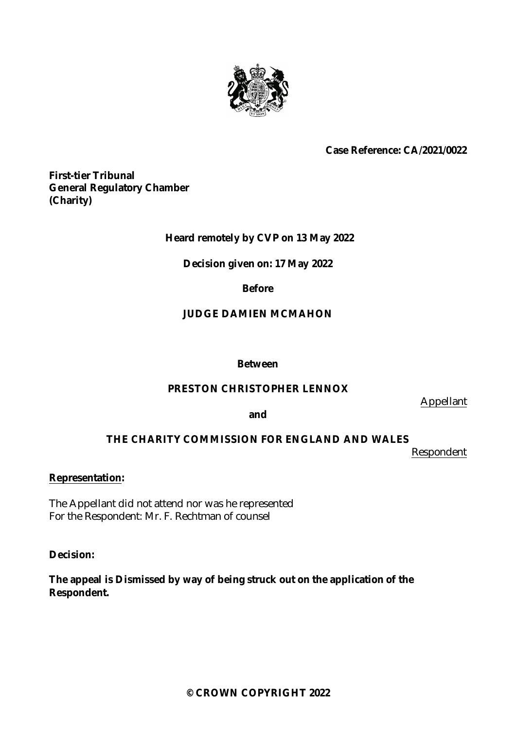

**Case Reference: CA/2021/0022**

**First-tier Tribunal General Regulatory Chamber (Charity)**

## **Heard remotely by CVP on 13 May 2022**

**Decision given on: 17 May 2022**

**Before**

#### **JUDGE DAMIEN MCMAHON**

**Between**

### **PRESTON CHRISTOPHER LENNOX**

**Appellant** 

**and**

# **THE CHARITY COMMISSION FOR ENGLAND AND WALES**

Respondent

#### **Representation:**

The Appellant did not attend nor was he represented For the Respondent: Mr. F. Rechtman of counsel

**Decision:**

**The appeal is Dismissed by way of being struck out on the application of the Respondent.**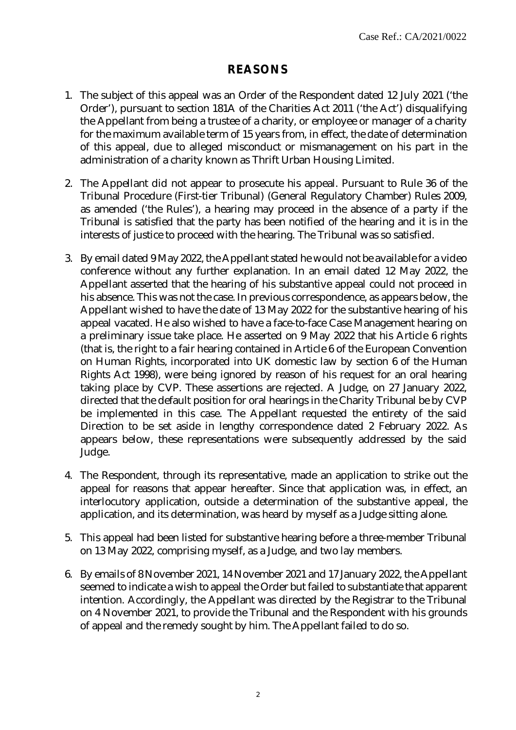# **REASONS**

- 1. The subject of this appeal was an Order of the Respondent dated 12 July 2021 ('the Order'), pursuant to section 181A of the Charities Act 2011 ('the Act') disqualifying the Appellant from being a trustee of a charity, or employee or manager of a charity for the maximum available term of 15 years from, in effect, the date of determination of this appeal, due to alleged misconduct or mismanagement on his part in the administration of a charity known as Thrift Urban Housing Limited.
- 2. The Appellant did not appear to prosecute his appeal. Pursuant to Rule 36 of the Tribunal Procedure (First-tier Tribunal) (General Regulatory Chamber) Rules 2009, as amended ('the Rules'), a hearing may proceed in the absence of a party if the Tribunal is satisfied that the party has been notified of the hearing and it is in the interests of justice to proceed with the hearing. The Tribunal was so satisfied.
- 3. By email dated 9 May 2022, the Appellant stated he would not be available for a video conference without any further explanation. In an email dated 12 May 2022, the Appellant asserted that the hearing of his substantive appeal could not proceed in his absence. This was not the case. In previous correspondence, as appears below, the Appellant wished to have the date of 13 May 2022 for the substantive hearing of his appeal vacated. He also wished to have a face-to-face Case Management hearing on a preliminary issue take place. He asserted on 9 May 2022 that his Article 6 rights (that is, the right to a fair hearing contained in Article 6 of the European Convention on Human Rights, incorporated into UK domestic law by section 6 of the Human Rights Act 1998), were being ignored by reason of his request for an oral hearing taking place by CVP. These assertions are rejected. A Judge, on 27 January 2022, directed that the default position for oral hearings in the Charity Tribunal be by CVP be implemented in this case. The Appellant requested the entirety of the said Direction to be set aside in lengthy correspondence dated 2 February 2022. As appears below, these representations were subsequently addressed by the said Judge.
- 4. The Respondent, through its representative, made an application to strike out the appeal for reasons that appear hereafter. Since that application was, in effect, an interlocutory application, outside a determination of the substantive appeal, the application, and its determination, was heard by myself as a Judge sitting alone.
- 5. This appeal had been listed for substantive hearing before a three-member Tribunal on 13 May 2022, comprising myself, as a Judge, and two lay members.
- 6. By emails of 8 November 2021, 14 November 2021 and 17 January 2022, the Appellant seemed to indicate a wish to appeal the Order but failed to substantiate that apparent intention. Accordingly, the Appellant was directed by the Registrar to the Tribunal on 4 November 2021, to provide the Tribunal and the Respondent with his grounds of appeal and the remedy sought by him. The Appellant failed to do so.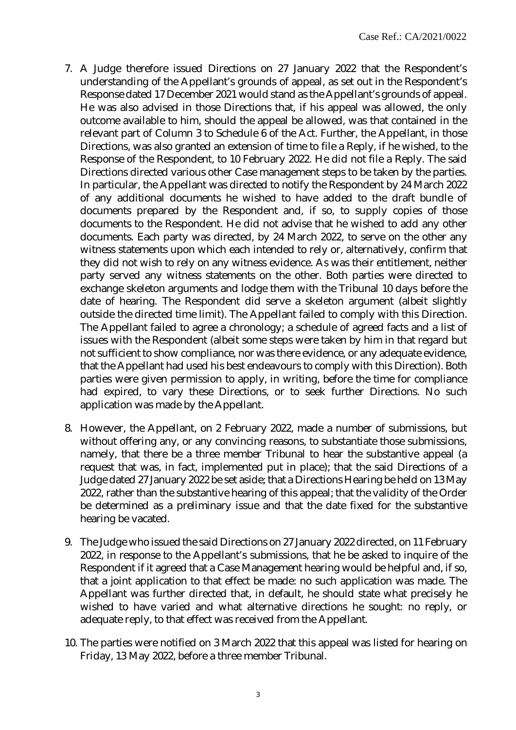- 7. A Judge therefore issued Directions on 27 January 2022 that the Respondent's understanding of the Appellant's grounds of appeal, as set out in the Respondent's Response dated 17 December 2021 would stand as the Appellant's grounds of appeal. He was also advised in those Directions that, if his appeal was allowed, the only outcome available to him, should the appeal be allowed, was that contained in the relevant part of Column 3 to Schedule 6 of the Act. Further, the Appellant, in those Directions, was also granted an extension of time to file a Reply, if he wished, to the Response of the Respondent, to 10 February 2022. He did not file a Reply. The said Directions directed various other Case management steps to be taken by the parties. In particular, the Appellant was directed to notify the Respondent by 24 March 2022 of any additional documents he wished to have added to the draft bundle of documents prepared by the Respondent and, if so, to supply copies of those documents to the Respondent. He did not advise that he wished to add any other documents. Each party was directed, by 24 March 2022, to serve on the other any witness statements upon which each intended to rely or, alternatively, confirm that they did not wish to rely on any witness evidence. As was their entitlement, neither party served any witness statements on the other. Both parties were directed to exchange skeleton arguments and lodge them with the Tribunal 10 days before the date of hearing. The Respondent did serve a skeleton argument (albeit slightly outside the directed time limit). The Appellant failed to comply with this Direction. The Appellant failed to agree a chronology; a schedule of agreed facts and a list of issues with the Respondent (albeit some steps were taken by him in that regard but not sufficient to show compliance, nor was there evidence, or any adequate evidence, that the Appellant had used his best endeavours to comply with this Direction). Both parties were given permission to apply, in writing, before the time for compliance had expired, to vary these Directions, or to seek further Directions. No such application was made by the Appellant.
- 8. However, the Appellant, on 2 February 2022, made a number of submissions, but without offering any, or any convincing reasons, to substantiate those submissions, namely, that there be a three member Tribunal to hear the substantive appeal (a request that was, in fact, implemented put in place); that the said Directions of a Judge dated 27 January 2022 be set aside; that a Directions Hearing be held on 13 May 2022, rather than the substantive hearing of this appeal; that the validity of the Order be determined as a preliminary issue and that the date fixed for the substantive hearing be vacated.
- 9. The Judge who issued the said Directions on 27 January 2022 directed, on 11 February 2022, in response to the Appellant's submissions, that he be asked to inquire of the Respondent if it agreed that a Case Management hearing would be helpful and, if so, that a joint application to that effect be made: no such application was made. The Appellant was further directed that, in default, he should state what precisely he wished to have varied and what alternative directions he sought: no reply, or adequate reply, to that effect was received from the Appellant.
- 10. The parties were notified on 3 March 2022 that this appeal was listed for hearing on Friday, 13 May 2022, before a three member Tribunal.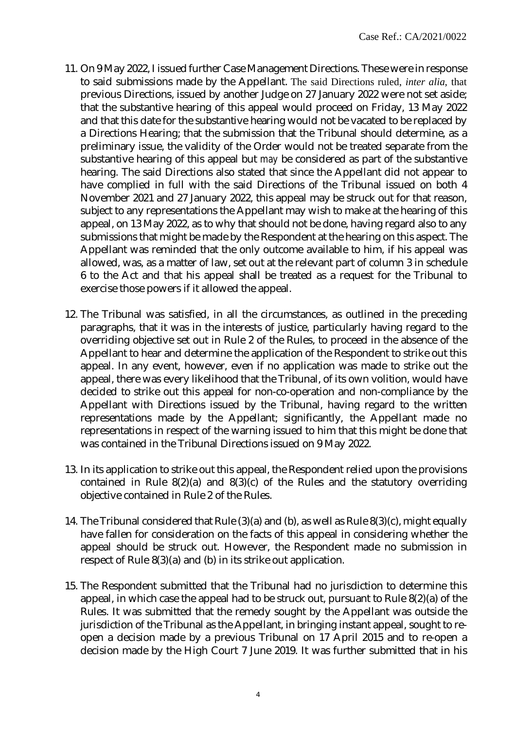- 11. On 9 May 2022, I issued further Case Management Directions. These were in response to said submissions made by the Appellant. The said Directions ruled, *inter alia*, that previous Directions, issued by another Judge on 27 January 2022 were not set aside; that the substantive hearing of this appeal would proceed on Friday, 13 May 2022 and that this date for the substantive hearing would not be vacated to be replaced by a Directions Hearing; that the submission that the Tribunal should determine, as a preliminary issue, the validity of the Order would not be treated separate from the substantive hearing of this appeal but *may* be considered as part of the substantive hearing. The said Directions also stated that since the Appellant did not appear to have complied in full with the said Directions of the Tribunal issued on both 4 November 2021 and 27 January 2022, this appeal may be struck out for that reason, subject to any representations the Appellant may wish to make at the hearing of this appeal, on 13 May 2022, as to why that should not be done, having regard also to any submissions that might be made by the Respondent at the hearing on this aspect. The Appellant was reminded that the only outcome available to him, if his appeal was allowed, was, as a matter of law, set out at the relevant part of column 3 in schedule 6 to the Act and that his appeal shall be treated as a request for the Tribunal to exercise those powers if it allowed the appeal.
- 12. The Tribunal was satisfied, in all the circumstances, as outlined in the preceding paragraphs, that it was in the interests of justice, particularly having regard to the overriding objective set out in Rule 2 of the Rules, to proceed in the absence of the Appellant to hear and determine the application of the Respondent to strike out this appeal. In any event, however, even if no application was made to strike out the appeal, there was every likelihood that the Tribunal, of its own volition, would have decided to strike out this appeal for non-co-operation and non-compliance by the Appellant with Directions issued by the Tribunal, having regard to the written representations made by the Appellant; significantly, the Appellant made no representations in respect of the warning issued to him that this might be done that was contained in the Tribunal Directions issued on 9 May 2022.
- 13. In its application to strike out this appeal, the Respondent relied upon the provisions contained in Rule 8(2)(a) and 8(3)(c) of the Rules and the statutory overriding objective contained in Rule 2 of the Rules.
- 14. The Tribunal considered that Rule (3)(a) and (b), as well as Rule 8(3)(c), might equally have fallen for consideration on the facts of this appeal in considering whether the appeal should be struck out. However, the Respondent made no submission in respect of Rule 8(3)(a) and (b) in its strike out application.
- 15. The Respondent submitted that the Tribunal had no jurisdiction to determine this appeal, in which case the appeal had to be struck out, pursuant to Rule 8(2)(a) of the Rules. It was submitted that the remedy sought by the Appellant was outside the jurisdiction of the Tribunal as the Appellant, in bringing instant appeal, sought to reopen a decision made by a previous Tribunal on 17 April 2015 and to re-open a decision made by the High Court 7 June 2019. It was further submitted that in his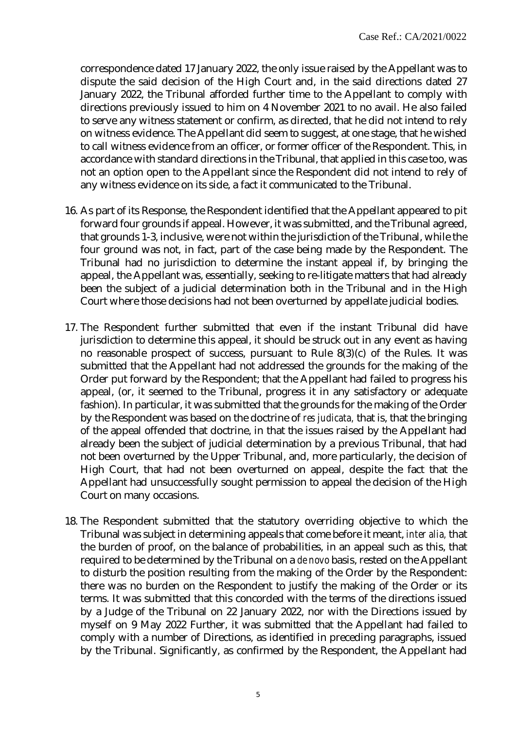correspondence dated 17 January 2022, the only issue raised by the Appellant was to dispute the said decision of the High Court and, in the said directions dated 27 January 2022, the Tribunal afforded further time to the Appellant to comply with directions previously issued to him on 4 November 2021 to no avail. He also failed to serve any witness statement or confirm, as directed, that he did not intend to rely on witness evidence. The Appellant did seem to suggest, at one stage, that he wished to call witness evidence from an officer, or former officer of the Respondent. This, in accordance with standard directions in the Tribunal, that applied in this case too, was not an option open to the Appellant since the Respondent did not intend to rely of any witness evidence on its side, a fact it communicated to the Tribunal.

- 16. As part of its Response, the Respondent identified that the Appellant appeared to pit forward four grounds if appeal. However, it was submitted, and the Tribunal agreed, that grounds 1-3, inclusive, were not within the jurisdiction of the Tribunal, while the four ground was not, in fact, part of the case being made by the Respondent. The Tribunal had no jurisdiction to determine the instant appeal if, by bringing the appeal, the Appellant was, essentially, seeking to re-litigate matters that had already been the subject of a judicial determination both in the Tribunal and in the High Court where those decisions had not been overturned by appellate judicial bodies.
- 17. The Respondent further submitted that even if the instant Tribunal did have jurisdiction to determine this appeal, it should be struck out in any event as having no reasonable prospect of success, pursuant to Rule 8(3)(c) of the Rules. It was submitted that the Appellant had not addressed the grounds for the making of the Order put forward by the Respondent; that the Appellant had failed to progress his appeal, (or, it seemed to the Tribunal, progress it in any satisfactory or adequate fashion). In particular, it was submitted that the grounds for the making of the Order by the Respondent was based on the doctrine of *res judicata,* that is, that the bringing of the appeal offended that doctrine, in that the issues raised by the Appellant had already been the subject of judicial determination by a previous Tribunal, that had not been overturned by the Upper Tribunal, and, more particularly, the decision of High Court, that had not been overturned on appeal, despite the fact that the Appellant had unsuccessfully sought permission to appeal the decision of the High Court on many occasions.
- 18. The Respondent submitted that the statutory overriding objective to which the Tribunal was subject in determining appeals that come before it meant, *inter alia,* that the burden of proof, on the balance of probabilities, in an appeal such as this, that required to be determined by the Tribunal on a *de novo* basis, rested on the Appellant to disturb the position resulting from the making of the Order by the Respondent: there was no burden on the Respondent to justify the making of the Order or its terms. It was submitted that this concorded with the terms of the directions issued by a Judge of the Tribunal on 22 January 2022, nor with the Directions issued by myself on 9 May 2022 Further, it was submitted that the Appellant had failed to comply with a number of Directions, as identified in preceding paragraphs, issued by the Tribunal. Significantly, as confirmed by the Respondent, the Appellant had